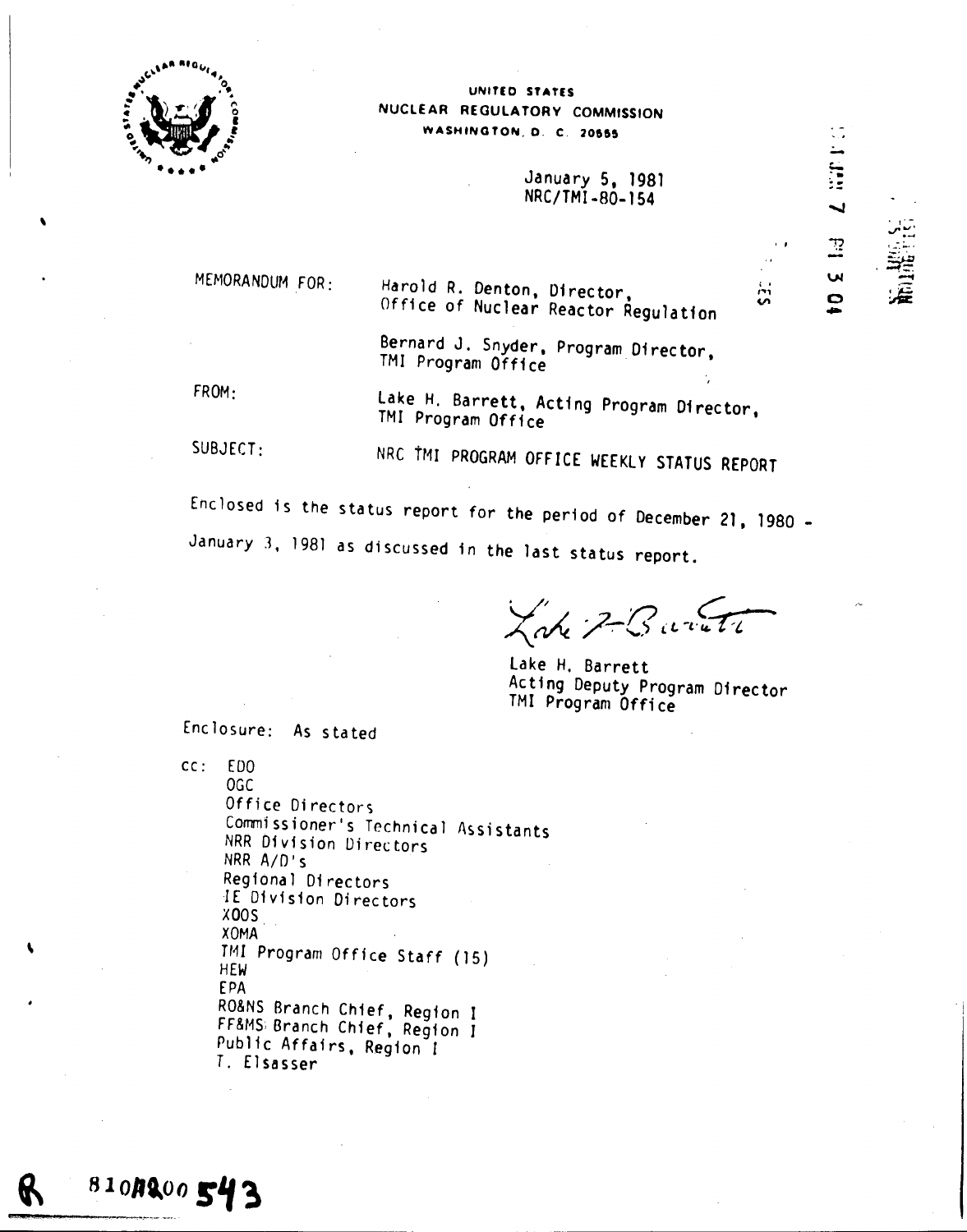

### UNITED STATES NUCLEAR REGULATORY COMMISSION WASHINGTON, D. C. 20555

January 5, 1981 NRC/TMI-80-154

 $\mathbb{C}$ 

 $\overline{\phantom{0}}$ 

 $\mathbb{R}$ W

O

က်

MEMORANDUM FOR:

Harold R. Denton, Director, Office of Nuclear Reactor Regulation Bernard J. Snyder, Program Director, TMI Program Office

FROM:

Lake H. Barrett, Acting Program Director, TMI Program Office

SUBJECT:

NRC TMI PROGRAM OFFICE WEEKLY STATUS REPORT

Enclosed is the status report for the period of December 21, 1980 -January 3, 1981 as discussed in the last status report.

Take 7-Barata

Lake H. Barrett Acting Deputy Program Director TMI Program Office

Enclosure: As stated

810A200 54

 $cc:$ EDO **OGC** Office Directors Commissioner's Technical Assistants NRR Division Directors NRR A/D's Regional Directors IE Division Directors  $X$ 00S **XOMA** TMI Program Office Staff (15) **HEW** EPA RO&NS Branch Chief, Region I FF&MS Branch Chief, Region I Public Affairs, Region I T. Elsasser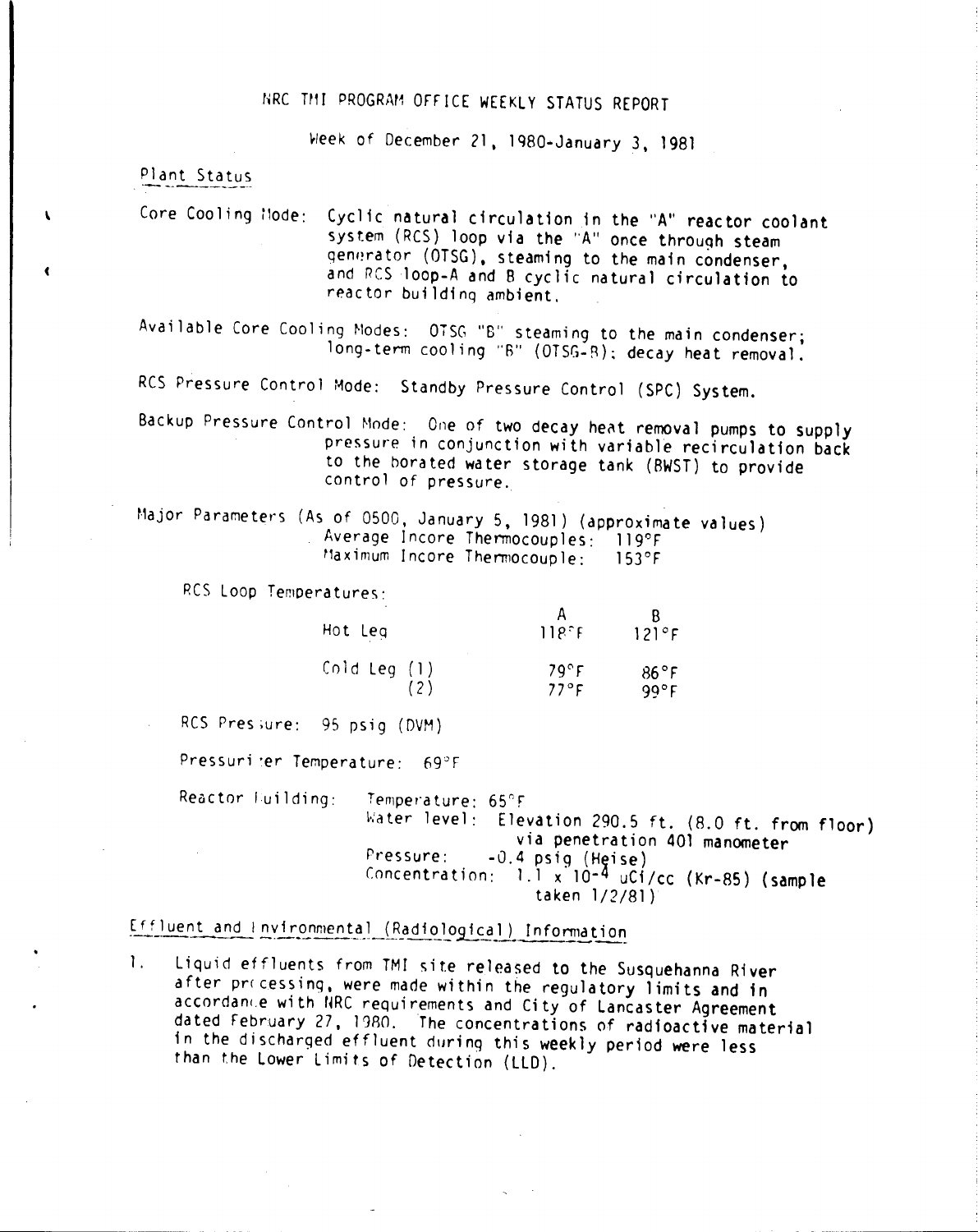# NRC THI PROGRAM OFFICE WEEKLY STATUS REPORT

Week of December 21, 1980-January 3, 1981

Plant Status

 $\mathbf{v}$ 

 $\bullet$ 

Core Cooling Node: Cyclic natural circulation in the "A" reactor coolant system (RCS) loop via the "A" once through steam generator (OTSG), steaming to the main condenser, and RCS loop-A and B cyclic natural circulation to reactor building ambient.

Available Core Cooling Modes: 07SG "B" steaming to the main condenser;<br>long-term cooling "B" (OTSG-B); decay heat removal.

RCS Pressure Control Mode: Standby Pressure Control (SPC) System.

Backup Pressure Control Mode: One of two decay heat removal pumps to supply pressure in conjunction with variable recirculation back to the borated water storage tank (BWST) to provide control of pressure.

Major Parameters (As of 0500, January 5, 1981) (approximate values) Average Incore Thermocouples: 119°F Maximum Incore Thermocouple: 153°F

RCS Loop Temperatures:

| Hot Leg       | 118°F        | 121°F          |
|---------------|--------------|----------------|
| Cn1d Leg (1). | $79^\circ$ F | $86^{\circ}$ F |
| (2)           | 77°F         | 99°F           |

RCS Pressure: 95 psig (DVM)

Pressuri ter Temperature: 69°F

Reactor Fuilding: Temperature: 65°F Water level: Elevation 290.5 ft. (8.0 ft. from floor) via penetration 401 manometer Pressure:  $-0.4$  psig (Heise) Concentration: 1.1 x 10-4 uci/cc (Kr-85) (sample taken 1/2/81)

Effluent\_and\_invironmental\_(Radiological)\_Information

Liquid effluents from TMI site released to the Susquehanna River  $\mathbf{1}$ . after processing, were made within the regulatory limits and in accordance with NRC requirements and City of Lancaster Agreement dated February 27, 1980. The concentrations of radioactive material in the discharged effluent during this weekly period were less than the Lower Limits of Detection (LLD).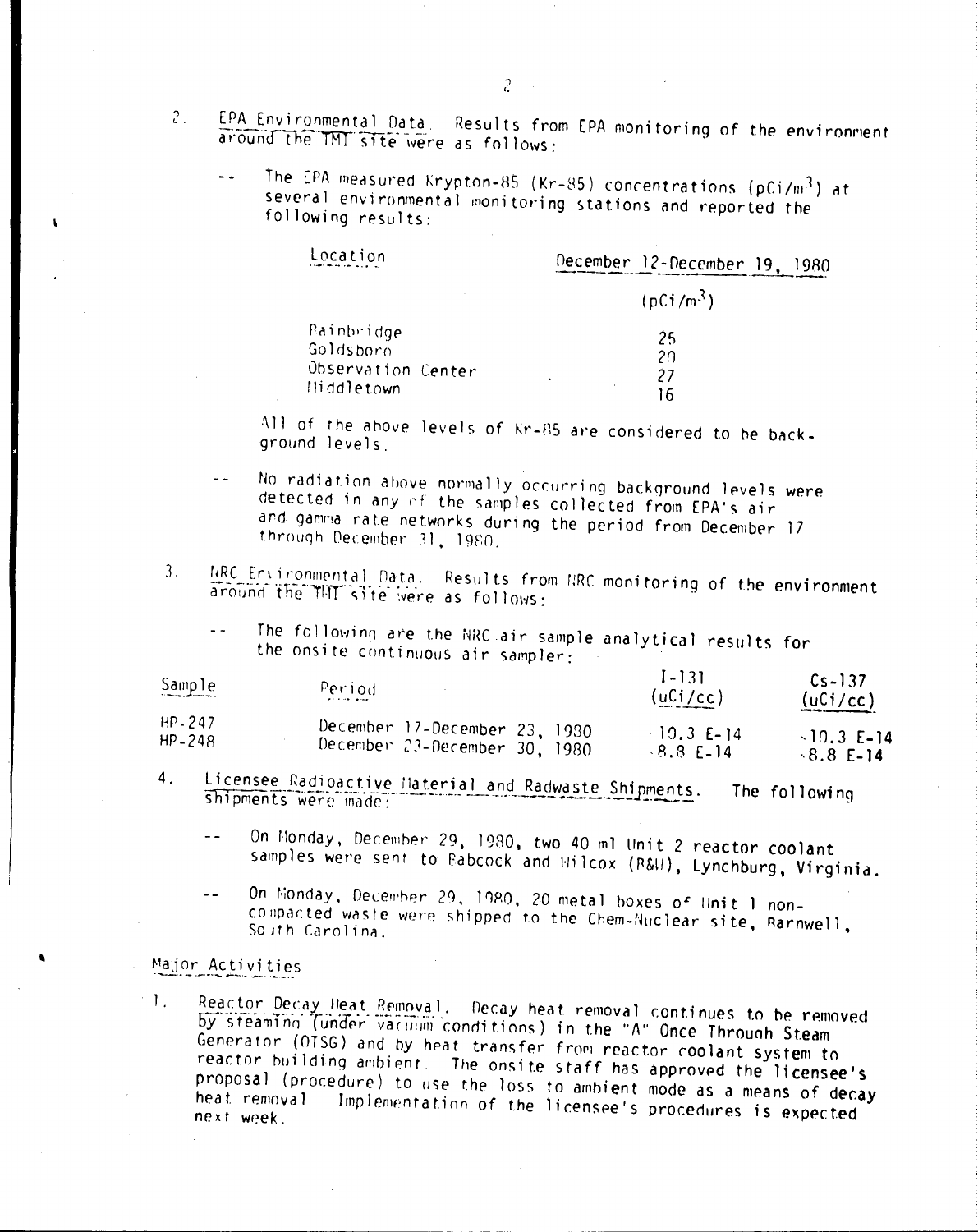- EPA Environmental Data. Results from EPA monitoring of the environment  $\mathcal{Z}$ . around the TMT site were as follows:
	- The EPA measured Krypton-85 (Kr-85) concentrations (pCi/m3) at  $$ several environmental monitoring stations and reported the following results:

| Location                                      | December 12-December 19, 1980 |
|-----------------------------------------------|-------------------------------|
|                                               | (pCi/m <sup>3</sup> )         |
| Rainbridge<br>Goldsboro<br>Observation Center | 25<br>20<br>27                |
| Hiddletown                                    | $\ddot{\phantom{a}}$<br>16    |

All of the above levels of Kr-85 are considered to be background levels.

- No radiation above normally occurring background levels were detected in any of the samples collected from EPA's air and gamma rate networks during the period from December 17 through December 31, 1980.
- NRC Environmental Data. Results from NRC monitoring of the environment 3. around the TMT site were as follows:
	- The following are the NRC air sample analytical results for  $\sim$   $\sim$ the onsite continuous air sampler:

| Sample     | Period                        | 1-131                    | $Cs - 137$       |
|------------|-------------------------------|--------------------------|------------------|
|            | the state and a               | $(\underline{u}C_1/c_0)$ | (uCi/cc)         |
| $HP - 247$ | December 17-December 23, 1930 | $-10.3$ E-14             | $\sim$ 10.3 E-14 |
| $HP-248$   | December 23-December 30, 1980 | $-8.8$ F-14              | $8.8$ E-14       |

- Licensee Radioactive Haterial and Radwaste Shipments.  $4.$ The following shipments were made:
	- On Monday, December 29, 1980, two 40 ml Unit 2 reactor coolant  $\sim$   $\sim$ samples were sent to Babcock and Wilcox (R&U), Lynchburg, Virginia.
	- On Monday, December 29, 1980, 20 metal boxes of Unit 1 non- $\sim$   $\sim$ compacted waste were shipped to the Chem-Nuclear site, Barnwell, South Carolina.

#### Major Activities

 $\langle \cdot | \cdot \rangle_{\perp}$ Reactor Decay Heat Removal. Decay heat removal continues to be removed by steaming (under vacuum conditions) in the "A" Once Through Steam Generator (OTSG) and by heat transfer from reactor coolant system to reactor building ambient. The onsite staff has approved the licensee's proposal (procedure) to use the loss to ambient mode as a means of decay Implementation of the licensee's procedures is expected heat removal next week.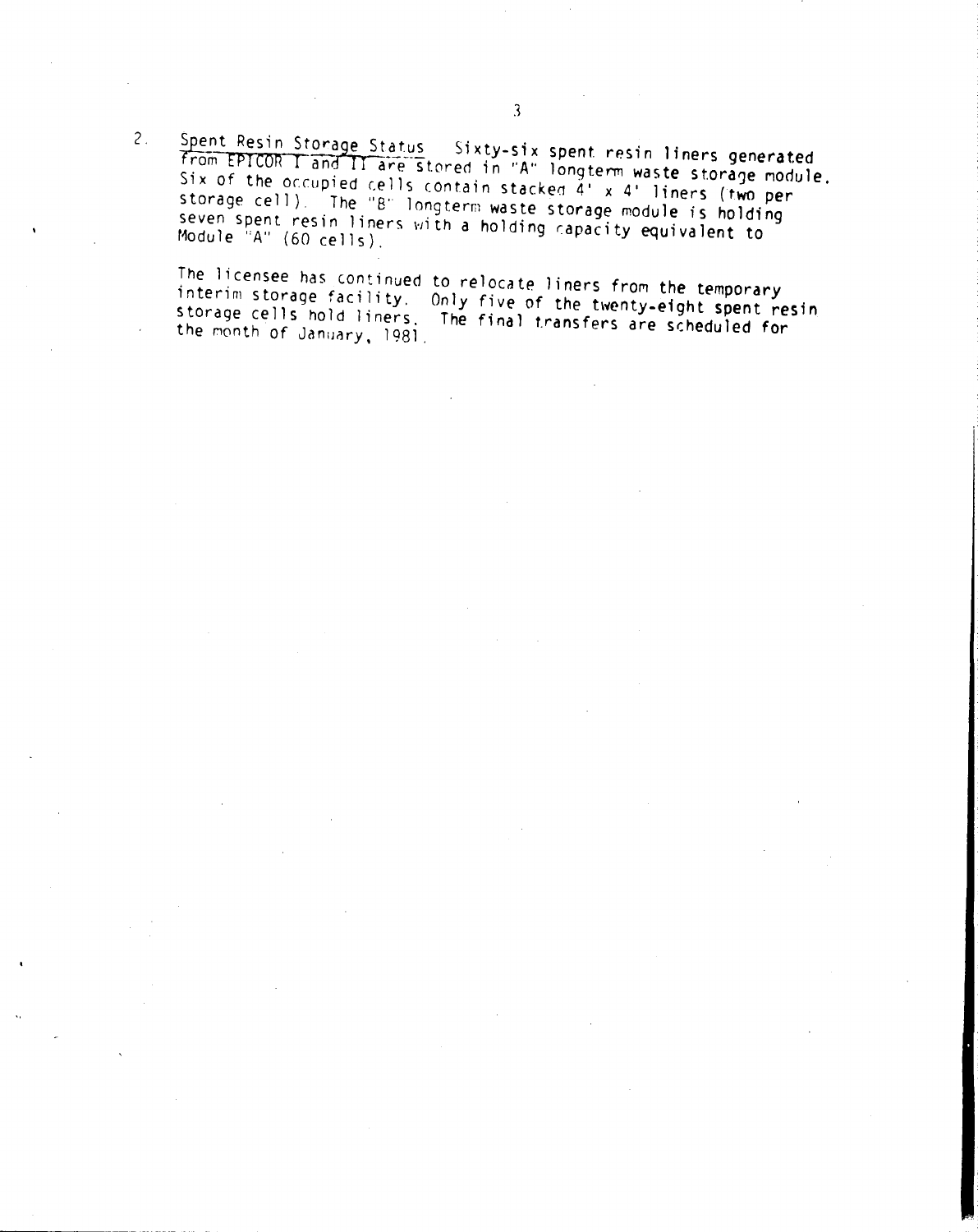<sup>2.</sup> Spent Resin Storage Status Sixty-six spent resin liners generated trom EPICOR I and II are stored in "A" longterm waste storage module Six of the occupied cells contain stacked  $4'$  x 4' liners (two per storage cell). The "B" longterm waste storage module is holding seven spent resin liners with a holding rapacity equivalent to Module  $A''$  (60 cells).

The licensee has continued to relocate liners from the temporal interim storage facility, Only five of the twenty-eight spent resi storage cells hold liners. The final transfers are scheduled for the month of January, 1981.